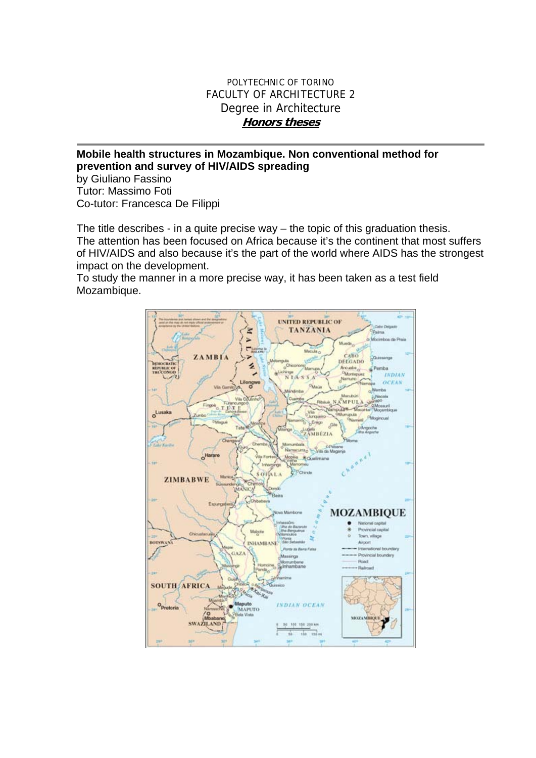## POLYTECHNIC OF TORINO FACULTY OF ARCHITECTURE 2 Degree in Architecture **Honors theses**

## **Mobile health structures in Mozambique. Non conventional method for prevention and survey of HIV/AIDS spreading**

by Giuliano Fassino Tutor: Massimo Foti Co-tutor: Francesca De Filippi

The title describes - in a quite precise way – the topic of this graduation thesis. The attention has been focused on Africa because it's the continent that most suffers of HIV/AIDS and also because it's the part of the world where AIDS has the strongest impact on the development.

To study the manner in a more precise way, it has been taken as a test field Mozambique.

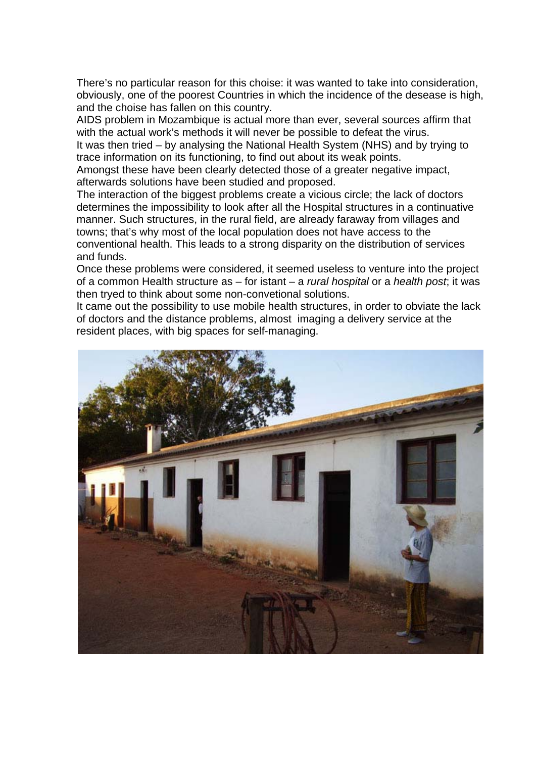There's no particular reason for this choise: it was wanted to take into consideration, obviously, one of the poorest Countries in which the incidence of the desease is high, and the choise has fallen on this country.

AIDS problem in Mozambique is actual more than ever, several sources affirm that with the actual work's methods it will never be possible to defeat the virus.

It was then tried – by analysing the National Health System (NHS) and by trying to trace information on its functioning, to find out about its weak points.

Amongst these have been clearly detected those of a greater negative impact, afterwards solutions have been studied and proposed.

The interaction of the biggest problems create a vicious circle; the lack of doctors determines the impossibility to look after all the Hospital structures in a continuative manner. Such structures, in the rural field, are already faraway from villages and towns; that's why most of the local population does not have access to the conventional health. This leads to a strong disparity on the distribution of services and funds.

Once these problems were considered, it seemed useless to venture into the project of a common Health structure as – for istant – a *rural hospital* or a *health post*; it was then tryed to think about some non-convetional solutions.

It came out the possibility to use mobile health structures, in order to obviate the lack of doctors and the distance problems, almost imaging a delivery service at the resident places, with big spaces for self-managing.